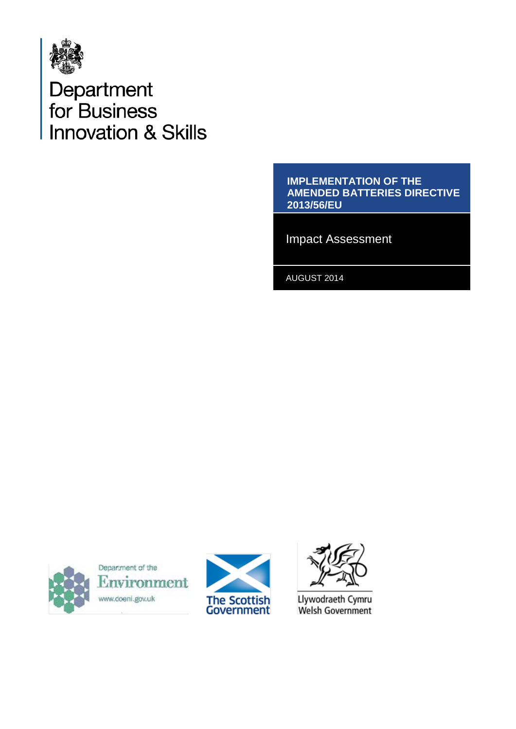

# Department<br>for Business **Innovation & Skills**

#### **IMPLEMENTATION OF THE AMENDED BATTERIES DIRECTIVE 2013/56/EU**

Impact Assessment

AUGUST 2014



Department of the Environment www.doeni.gov.uk





Llywodraeth Cymru Welsh Government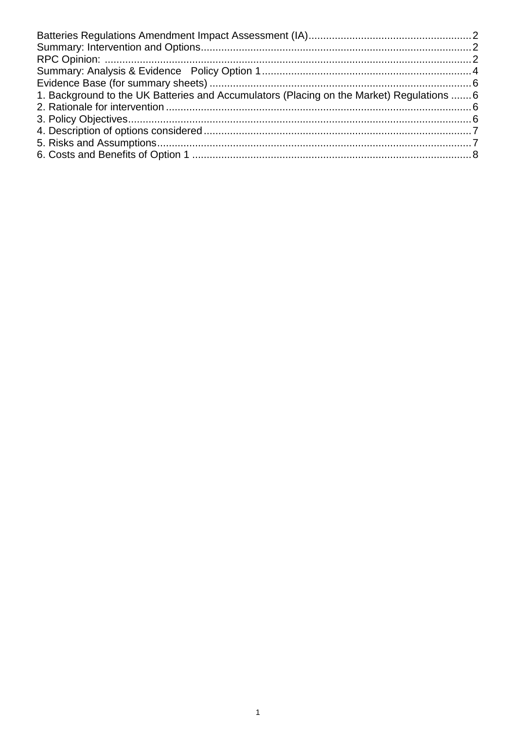| 1. Background to the UK Batteries and Accumulators (Placing on the Market) Regulations  6 |  |
|-------------------------------------------------------------------------------------------|--|
|                                                                                           |  |
|                                                                                           |  |
|                                                                                           |  |
|                                                                                           |  |
|                                                                                           |  |
|                                                                                           |  |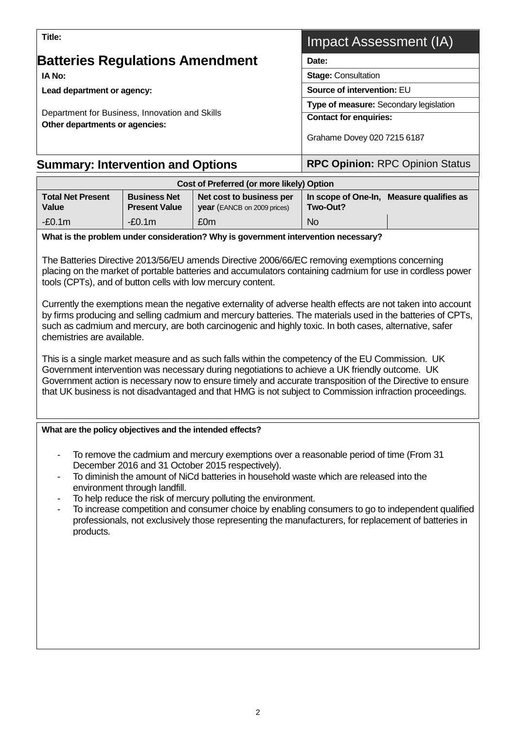<span id="page-2-1"></span>

| Lead department or agency:                                                       |                                             | Source of intervention: EU                                                                                                                                                                                                                                                                                                                                                                                                                                                                                                                                                                                                                                                                                                                                                                                                                                                                                                                                                                                                                     |                                        |                                          |  |  |
|----------------------------------------------------------------------------------|---------------------------------------------|------------------------------------------------------------------------------------------------------------------------------------------------------------------------------------------------------------------------------------------------------------------------------------------------------------------------------------------------------------------------------------------------------------------------------------------------------------------------------------------------------------------------------------------------------------------------------------------------------------------------------------------------------------------------------------------------------------------------------------------------------------------------------------------------------------------------------------------------------------------------------------------------------------------------------------------------------------------------------------------------------------------------------------------------|----------------------------------------|------------------------------------------|--|--|
|                                                                                  |                                             |                                                                                                                                                                                                                                                                                                                                                                                                                                                                                                                                                                                                                                                                                                                                                                                                                                                                                                                                                                                                                                                | Type of measure: Secondary legislation |                                          |  |  |
| Department for Business, Innovation and Skills<br>Other departments or agencies: |                                             | <b>Contact for enquiries:</b>                                                                                                                                                                                                                                                                                                                                                                                                                                                                                                                                                                                                                                                                                                                                                                                                                                                                                                                                                                                                                  |                                        |                                          |  |  |
|                                                                                  |                                             |                                                                                                                                                                                                                                                                                                                                                                                                                                                                                                                                                                                                                                                                                                                                                                                                                                                                                                                                                                                                                                                | Grahame Dovey 020 7215 6187            |                                          |  |  |
| <b>Summary: Intervention and Options</b>                                         |                                             |                                                                                                                                                                                                                                                                                                                                                                                                                                                                                                                                                                                                                                                                                                                                                                                                                                                                                                                                                                                                                                                | <b>RPC Opinion: RPC Opinion Status</b> |                                          |  |  |
|                                                                                  |                                             | Cost of Preferred (or more likely) Option                                                                                                                                                                                                                                                                                                                                                                                                                                                                                                                                                                                                                                                                                                                                                                                                                                                                                                                                                                                                      |                                        |                                          |  |  |
| <b>Total Net Present</b><br>Value                                                | <b>Business Net</b><br><b>Present Value</b> | Net cost to business per<br>year (EANCB on 2009 prices)                                                                                                                                                                                                                                                                                                                                                                                                                                                                                                                                                                                                                                                                                                                                                                                                                                                                                                                                                                                        | Two-Out?                               | In scope of One-In, Measure qualifies as |  |  |
| $-E0.1m$                                                                         | $-E0.1m$                                    | £0m                                                                                                                                                                                                                                                                                                                                                                                                                                                                                                                                                                                                                                                                                                                                                                                                                                                                                                                                                                                                                                            | <b>No</b>                              |                                          |  |  |
|                                                                                  |                                             | What is the problem under consideration? Why is government intervention necessary?                                                                                                                                                                                                                                                                                                                                                                                                                                                                                                                                                                                                                                                                                                                                                                                                                                                                                                                                                             |                                        |                                          |  |  |
| chemistries are available.                                                       |                                             | The Batteries Directive 2013/56/EU amends Directive 2006/66/EC removing exemptions concerning<br>placing on the market of portable batteries and accumulators containing cadmium for use in cordless power<br>tools (CPTs), and of button cells with low mercury content.<br>Currently the exemptions mean the negative externality of adverse health effects are not taken into account<br>by firms producing and selling cadmium and mercury batteries. The materials used in the batteries of CPTs,<br>such as cadmium and mercury, are both carcinogenic and highly toxic. In both cases, alternative, safer<br>This is a single market measure and as such falls within the competency of the EU Commission. UK<br>Government intervention was necessary during negotiations to achieve a UK friendly outcome. UK<br>Government action is necessary now to ensure timely and accurate transposition of the Directive to ensure<br>that UK business is not disadvantaged and that HMG is not subject to Commission infraction proceedings. |                                        |                                          |  |  |
| What are the policy objectives and the intended effects?                         |                                             |                                                                                                                                                                                                                                                                                                                                                                                                                                                                                                                                                                                                                                                                                                                                                                                                                                                                                                                                                                                                                                                |                                        |                                          |  |  |
| products.                                                                        | environment through landfill.               | To remove the cadmium and mercury exemptions over a reasonable period of time (From 31)<br>December 2016 and 31 October 2015 respectively).<br>To diminish the amount of NiCd batteries in household waste which are released into the<br>To help reduce the risk of mercury polluting the environment.<br>To increase competition and consumer choice by enabling consumers to go to independent qualified<br>professionals, not exclusively those representing the manufacturers, for replacement of batteries in                                                                                                                                                                                                                                                                                                                                                                                                                                                                                                                            |                                        |                                          |  |  |

## <span id="page-2-0"></span>**Batteries Regulations Amendment**

**IA No:** 

**Title:**

**Lead de** 

ֺֺ

## Impact Assessment (IA)

**Date:**

**Stage:** Consultation

<span id="page-2-2"></span>**Source of intervention:** EU

2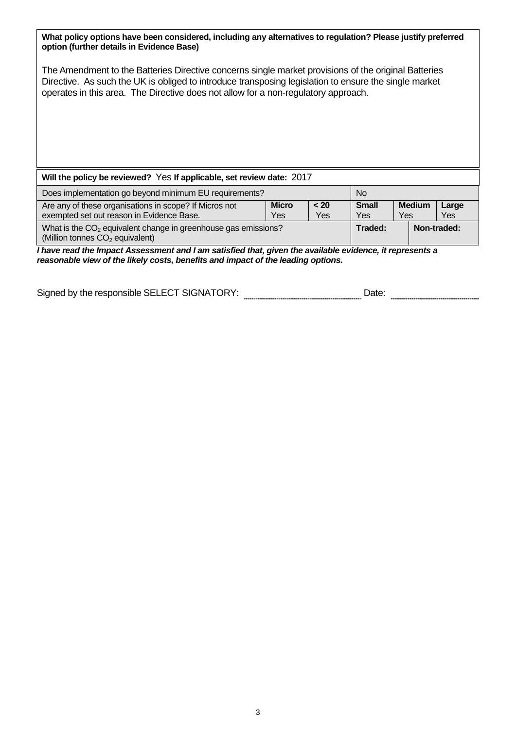| What policy options have been considered, including any alternatives to regulation? Please justify preferred<br>option (further details in Evidence Base)                                                                                                                                           |                     |                    |                            |                      |              |  |
|-----------------------------------------------------------------------------------------------------------------------------------------------------------------------------------------------------------------------------------------------------------------------------------------------------|---------------------|--------------------|----------------------------|----------------------|--------------|--|
| The Amendment to the Batteries Directive concerns single market provisions of the original Batteries<br>Directive. As such the UK is obliged to introduce transposing legislation to ensure the single market<br>operates in this area. The Directive does not allow for a non-regulatory approach. |                     |                    |                            |                      |              |  |
| Will the policy be reviewed? Yes If applicable, set review date: 2017                                                                                                                                                                                                                               |                     |                    |                            |                      |              |  |
| Does implementation go beyond minimum EU requirements?                                                                                                                                                                                                                                              |                     |                    | N <sub>o</sub>             |                      |              |  |
| Are any of these organisations in scope? If Micros not<br>exempted set out reason in Evidence Base.                                                                                                                                                                                                 | <b>Micro</b><br>Yes | < 20<br><b>Yes</b> | <b>Small</b><br><b>Yes</b> | <b>Medium</b><br>Yes | Large<br>Yes |  |
| What is the CO <sub>2</sub> equivalent change in greenhouse gas emissions?<br>(Million tonnes CO <sub>2</sub> equivalent)                                                                                                                                                                           |                     |                    | Traded:                    |                      | Non-traded:  |  |
| I have read the Impact Assessment and I am satisfied that, given the available evidence, it represents a<br>reasonable view of the likely costs, benefits and impact of the leading options.                                                                                                        |                     |                    |                            |                      |              |  |

Signed by the responsible SELECT SIGNATORY: \_\_\_\_\_\_\_\_\_\_\_\_\_\_\_\_\_\_\_\_\_\_\_\_\_\_\_\_\_\_Date: \_\_\_\_\_\_\_\_\_\_\_\_\_\_\_\_\_\_\_\_\_\_\_\_\_\_\_\_\_\_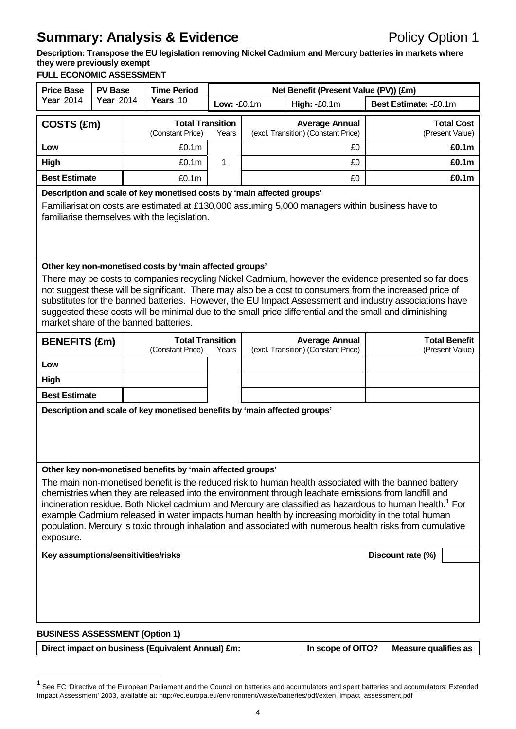## <span id="page-4-0"></span>**Summary: Analysis & Evidence Policy Option 1**

**Description: Transpose the EU legislation removing Nickel Cadmium and Mercury batteries in markets where they were previously exempt**

#### **FULL ECONOMIC ASSESSMENT**

| <b>Price Base</b><br><b>PV Base</b>                                                                                                                                                                                                                                                                                                                                                                                                                                                                                                                                                                                                                                                           |                  | <b>Time Period</b> |                                             | Net Benefit (Present Value (PV)) (£m) |                                                              |                                                              |                                         |  |  |  |                                      |
|-----------------------------------------------------------------------------------------------------------------------------------------------------------------------------------------------------------------------------------------------------------------------------------------------------------------------------------------------------------------------------------------------------------------------------------------------------------------------------------------------------------------------------------------------------------------------------------------------------------------------------------------------------------------------------------------------|------------------|--------------------|---------------------------------------------|---------------------------------------|--------------------------------------------------------------|--------------------------------------------------------------|-----------------------------------------|--|--|--|--------------------------------------|
| <b>Year 2014</b>                                                                                                                                                                                                                                                                                                                                                                                                                                                                                                                                                                                                                                                                              | <b>Year 2014</b> |                    | Years 10                                    | Low: -£0.1m                           | <b>High: -£0.1m</b>                                          |                                                              | Best Estimate: -£0.1m                   |  |  |  |                                      |
| COSTS (£m)                                                                                                                                                                                                                                                                                                                                                                                                                                                                                                                                                                                                                                                                                    |                  |                    | <b>Total Transition</b><br>(Constant Price) | Years                                 | <b>Average Annual</b><br>(excl. Transition) (Constant Price) |                                                              |                                         |  |  |  | <b>Total Cost</b><br>(Present Value) |
| Low                                                                                                                                                                                                                                                                                                                                                                                                                                                                                                                                                                                                                                                                                           |                  |                    | £0.1 <sub>m</sub>                           |                                       | £0.                                                          |                                                              | £0.1m                                   |  |  |  |                                      |
| <b>High</b>                                                                                                                                                                                                                                                                                                                                                                                                                                                                                                                                                                                                                                                                                   |                  |                    | £0.1m                                       | 1                                     | £0                                                           |                                                              | £0.1m                                   |  |  |  |                                      |
| <b>Best Estimate</b>                                                                                                                                                                                                                                                                                                                                                                                                                                                                                                                                                                                                                                                                          |                  |                    | £0.1m                                       |                                       |                                                              | £0                                                           | £0.1m                                   |  |  |  |                                      |
| Description and scale of key monetised costs by 'main affected groups'<br>Familiarisation costs are estimated at £130,000 assuming 5,000 managers within business have to<br>familiarise themselves with the legislation.                                                                                                                                                                                                                                                                                                                                                                                                                                                                     |                  |                    |                                             |                                       |                                                              |                                                              |                                         |  |  |  |                                      |
| Other key non-monetised costs by 'main affected groups'<br>There may be costs to companies recycling Nickel Cadmium, however the evidence presented so far does<br>not suggest these will be significant. There may also be a cost to consumers from the increased price of<br>substitutes for the banned batteries. However, the EU Impact Assessment and industry associations have<br>suggested these costs will be minimal due to the small price differential and the small and diminishing<br>market share of the banned batteries.                                                                                                                                                     |                  |                    |                                             |                                       |                                                              |                                                              |                                         |  |  |  |                                      |
| <b>BENEFITS (£m)</b>                                                                                                                                                                                                                                                                                                                                                                                                                                                                                                                                                                                                                                                                          |                  |                    | <b>Total Transition</b><br>(Constant Price) | Years                                 |                                                              | <b>Average Annual</b><br>(excl. Transition) (Constant Price) | <b>Total Benefit</b><br>(Present Value) |  |  |  |                                      |
| Low                                                                                                                                                                                                                                                                                                                                                                                                                                                                                                                                                                                                                                                                                           |                  |                    |                                             |                                       |                                                              |                                                              |                                         |  |  |  |                                      |
| High                                                                                                                                                                                                                                                                                                                                                                                                                                                                                                                                                                                                                                                                                          |                  |                    |                                             |                                       |                                                              |                                                              |                                         |  |  |  |                                      |
| <b>Best Estimate</b>                                                                                                                                                                                                                                                                                                                                                                                                                                                                                                                                                                                                                                                                          |                  |                    |                                             |                                       |                                                              |                                                              |                                         |  |  |  |                                      |
| Description and scale of key monetised benefits by 'main affected groups'                                                                                                                                                                                                                                                                                                                                                                                                                                                                                                                                                                                                                     |                  |                    |                                             |                                       |                                                              |                                                              |                                         |  |  |  |                                      |
| Other key non-monetised benefits by 'main affected groups'<br>The main non-monetised benefit is the reduced risk to human health associated with the banned battery<br>chemistries when they are released into the environment through leachate emissions from landfill and<br>incineration residue. Both Nickel cadmium and Mercury are classified as hazardous to human health. <sup>1</sup> For<br>example Cadmium released in water impacts human health by increasing morbidity in the total human<br>population. Mercury is toxic through inhalation and associated with numerous health risks from cumulative<br>exposure.<br>Key assumptions/sensitivities/risks<br>Discount rate (%) |                  |                    |                                             |                                       |                                                              |                                                              |                                         |  |  |  |                                      |
|                                                                                                                                                                                                                                                                                                                                                                                                                                                                                                                                                                                                                                                                                               |                  |                    |                                             |                                       |                                                              |                                                              |                                         |  |  |  |                                      |

**BUSINESS ASSESSMENT (Option 1)**

 $\overline{a}$ 

Direct impact on business (Equivalent Annual) £m: **In scope of OITO?** Measure qualifies as

<span id="page-4-1"></span> $1$  See EC 'Directive of the European Parliament and the Council on batteries and accumulators and spent batteries and accumulators: Extended Impact Assessment' 2003, available at: http://ec.europa.eu/environment/waste/batteries/pdf/exten\_impact\_assessment.pdf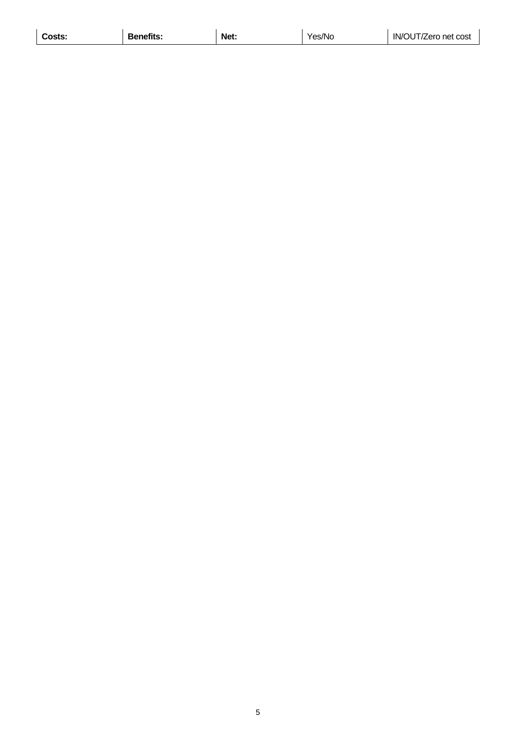| 112<br>___ | Costs: | <b>Benetits:</b> | Net. | 'es/No | $\sim$ 1<br>IN/<br>: cost<br>′ero<br>net<br>) l |
|------------|--------|------------------|------|--------|-------------------------------------------------|
|------------|--------|------------------|------|--------|-------------------------------------------------|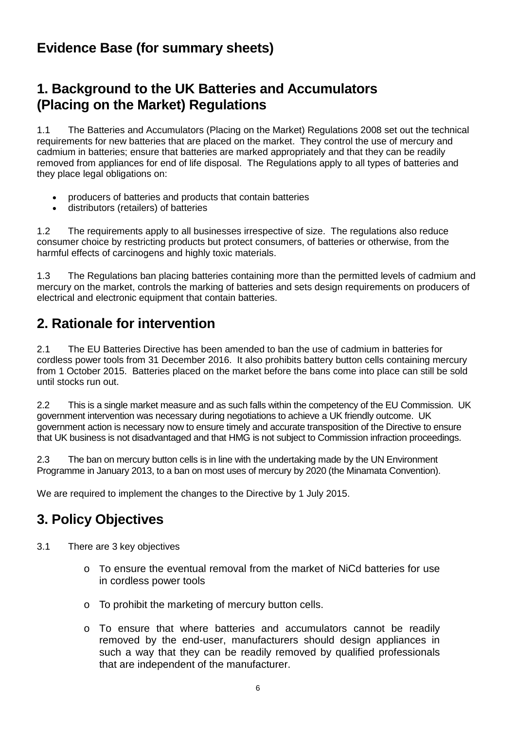### <span id="page-6-0"></span>**Evidence Base (for summary sheets)**

## <span id="page-6-1"></span>**1. Background to the UK Batteries and Accumulators (Placing on the Market) Regulations**

1.1 The Batteries and Accumulators (Placing on the Market) Regulations 2008 set out the technical requirements for new batteries that are placed on the market. They control the use of mercury and cadmium in batteries; ensure that batteries are marked appropriately and that they can be readily removed from appliances for end of life disposal. The Regulations apply to all types of batteries and they place legal obligations on:

- producers of batteries and products that contain batteries
- distributors (retailers) of batteries

1.2 The requirements apply to all businesses irrespective of size. The regulations also reduce consumer choice by restricting products but protect consumers, of batteries or otherwise, from the harmful effects of carcinogens and highly toxic materials.

1.3 The Regulations ban placing batteries containing more than the permitted levels of cadmium and mercury on the market, controls the marking of batteries and sets design requirements on producers of electrical and electronic equipment that contain batteries.

## <span id="page-6-2"></span>**2. Rationale for intervention**

2.1 The EU Batteries Directive has been amended to ban the use of cadmium in batteries for cordless power tools from 31 December 2016. It also prohibits battery button cells containing mercury from 1 October 2015. Batteries placed on the market before the bans come into place can still be sold until stocks run out.

2.2 This is a single market measure and as such falls within the competency of the EU Commission. UK government intervention was necessary during negotiations to achieve a UK friendly outcome. UK government action is necessary now to ensure timely and accurate transposition of the Directive to ensure that UK business is not disadvantaged and that HMG is not subject to Commission infraction proceedings.

2.3 The ban on mercury button cells is in line with the undertaking made by the UN Environment Programme in January 2013, to a ban on most uses of mercury by 2020 (the Minamata Convention).

We are required to implement the changes to the Directive by 1 July 2015.

## <span id="page-6-3"></span>**3. Policy Objectives**

- 3.1 There are 3 key objectives
	- o To ensure the eventual removal from the market of NiCd batteries for use in cordless power tools
	- o To prohibit the marketing of mercury button cells.
	- o To ensure that where batteries and accumulators cannot be readily removed by the end-user, manufacturers should design appliances in such a way that they can be readily removed by qualified professionals that are independent of the manufacturer.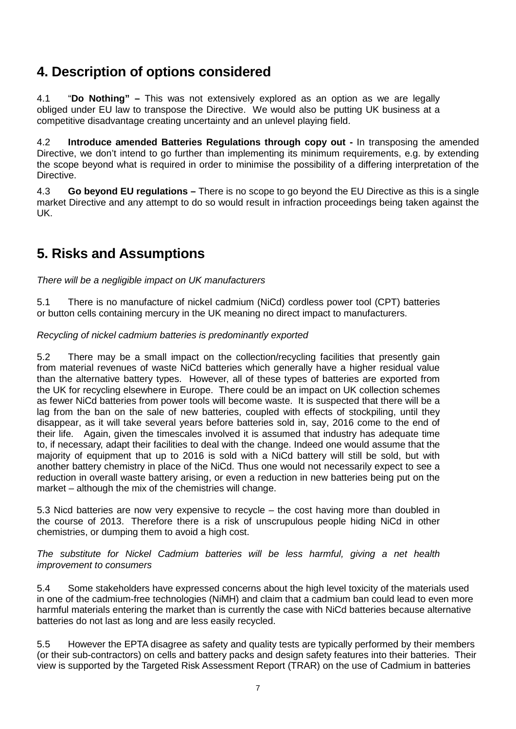## <span id="page-7-0"></span>**4. Description of options considered**

4.1 "**Do Nothing" –** This was not extensively explored as an option as we are legally obliged under EU law to transpose the Directive. We would also be putting UK business at a competitive disadvantage creating uncertainty and an unlevel playing field.

4.2 **Introduce amended Batteries Regulations through copy out -** In transposing the amended Directive, we don't intend to go further than implementing its minimum requirements, e.g. by extending the scope beyond what is required in order to minimise the possibility of a differing interpretation of the Directive.

4.3 **Go beyond EU regulations –** There is no scope to go beyond the EU Directive as this is a single market Directive and any attempt to do so would result in infraction proceedings being taken against the UK.

## <span id="page-7-1"></span>**5. Risks and Assumptions**

*There will be a negligible impact on UK manufacturers*

5.1 There is no manufacture of nickel cadmium (NiCd) cordless power tool (CPT) batteries or button cells containing mercury in the UK meaning no direct impact to manufacturers.

*Recycling of nickel cadmium batteries is predominantly exported*

5.2 There may be a small impact on the collection/recycling facilities that presently gain from material revenues of waste NiCd batteries which generally have a higher residual value than the alternative battery types. However, all of these types of batteries are exported from the UK for recycling elsewhere in Europe. There could be an impact on UK collection schemes as fewer NiCd batteries from power tools will become waste. It is suspected that there will be a lag from the ban on the sale of new batteries, coupled with effects of stockpiling, until they disappear, as it will take several years before batteries sold in, say, 2016 come to the end of their life. Again, given the timescales involved it is assumed that industry has adequate time to, if necessary, adapt their facilities to deal with the change. Indeed one would assume that the majority of equipment that up to 2016 is sold with a NiCd battery will still be sold, but with another battery chemistry in place of the NiCd. Thus one would not necessarily expect to see a reduction in overall waste battery arising, or even a reduction in new batteries being put on the market – although the mix of the chemistries will change.

5.3 Nicd batteries are now very expensive to recycle – the cost having more than doubled in the course of 2013. Therefore there is a risk of unscrupulous people hiding NiCd in other chemistries, or dumping them to avoid a high cost.

*The substitute for Nickel Cadmium batteries will be less harmful, giving a net health improvement to consumers*

5.4 Some stakeholders have expressed concerns about the high level toxicity of the materials used in one of the cadmium-free technologies (NiMH) and claim that a cadmium ban could lead to even more harmful materials entering the market than is currently the case with NiCd batteries because alternative batteries do not last as long and are less easily recycled.

5.5 However the EPTA disagree as safety and quality tests are typically performed by their members (or their sub-contractors) on cells and battery packs and design safety features into their batteries. Their view is supported by the Targeted Risk Assessment Report (TRAR) on the use of Cadmium in batteries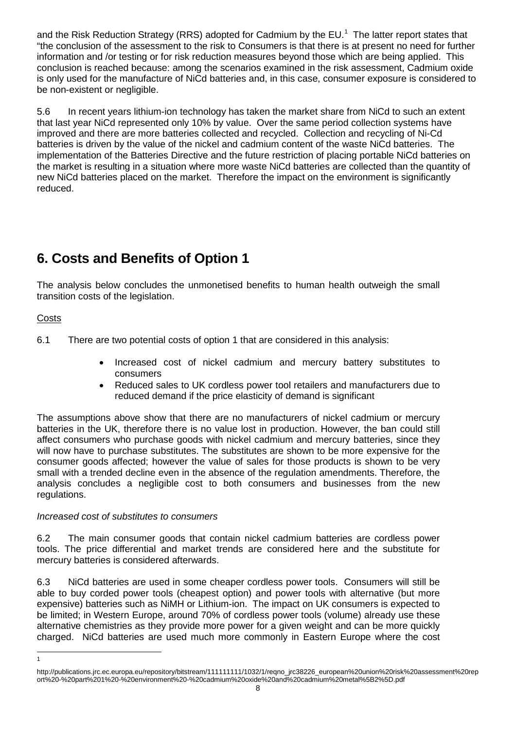and the Risk Reduction Strategy (RRS) adopted for Cadmium by the EU.<sup>[1](#page-8-1)</sup> The latter report states that "the conclusion of the assessment to the risk to Consumers is that there is at present no need for further information and /or testing or for risk reduction measures beyond those which are being applied. This conclusion is reached because: among the scenarios examined in the risk assessment, Cadmium oxide is only used for the manufacture of NiCd batteries and, in this case, consumer exposure is considered to be non-existent or negligible.

5.6 In recent years lithium-ion technology has taken the market share from NiCd to such an extent that last year NiCd represented only 10% by value. Over the same period collection systems have improved and there are more batteries collected and recycled. Collection and recycling of Ni-Cd batteries is driven by the value of the nickel and cadmium content of the waste NiCd batteries. The implementation of the Batteries Directive and the future restriction of placing portable NiCd batteries on the market is resulting in a situation where more waste NiCd batteries are collected than the quantity of new NiCd batteries placed on the market. Therefore the impact on the environment is significantly reduced.

## <span id="page-8-0"></span>**6. Costs and Benefits of Option 1**

The analysis below concludes the unmonetised benefits to human health outweigh the small transition costs of the legislation.

#### **Costs**

 $\overline{1}$ 

- 6.1 There are two potential costs of option 1 that are considered in this analysis:
	- Increased cost of nickel cadmium and mercury battery substitutes to consumers
	- Reduced sales to UK cordless power tool retailers and manufacturers due to reduced demand if the price elasticity of demand is significant

The assumptions above show that there are no manufacturers of nickel cadmium or mercury batteries in the UK, therefore there is no value lost in production. However, the ban could still affect consumers who purchase goods with nickel cadmium and mercury batteries, since they will now have to purchase substitutes. The substitutes are shown to be more expensive for the consumer goods affected; however the value of sales for those products is shown to be very small with a trended decline even in the absence of the regulation amendments. Therefore, the analysis concludes a negligible cost to both consumers and businesses from the new regulations.

#### *Increased cost of substitutes to consumers*

6.2 The main consumer goods that contain nickel cadmium batteries are cordless power tools. The price differential and market trends are considered here and the substitute for mercury batteries is considered afterwards.

6.3 NiCd batteries are used in some cheaper cordless power tools. Consumers will still be able to buy corded power tools (cheapest option) and power tools with alternative (but more expensive) batteries such as NiMH or Lithium-ion. The impact on UK consumers is expected to be limited; in Western Europe, around 70% of cordless power tools (volume) already use these alternative chemistries as they provide more power for a given weight and can be more quickly charged. NiCd batteries are used much more commonly in Eastern Europe where the cost

<span id="page-8-1"></span>http://publications.jrc.ec.europa.eu/repository/bitstream/111111111/1032/1/reqno\_jrc38226\_european%20union%20risk%20assessment%20rep ort%20-%20part%201%20-%20environment%20-%20cadmium%20oxide%20and%20cadmium%20metal%5B2%5D.pdf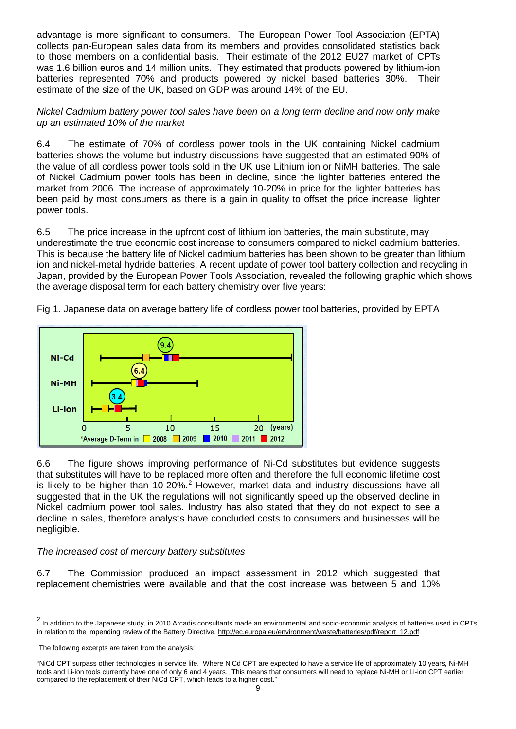advantage is more significant to consumers. The European Power Tool Association (EPTA) collects pan-European sales data from its members and provides consolidated statistics back to those members on a confidential basis. Their estimate of the 2012 EU27 market of CPTs was 1.6 billion euros and 14 million units. They estimated that products powered by lithium-ion batteries represented 70% and products powered by nickel based batteries 30%. Their estimate of the size of the UK, based on GDP was around 14% of the EU.

*Nickel Cadmium battery power tool sales have been on a long term decline and now only make up an estimated 10% of the market*

6.4 The estimate of 70% of cordless power tools in the UK containing Nickel cadmium batteries shows the volume but industry discussions have suggested that an estimated 90% of the value of all cordless power tools sold in the UK use Lithium ion or NiMH batteries. The sale of Nickel Cadmium power tools has been in decline, since the lighter batteries entered the market from 2006. The increase of approximately 10-20% in price for the lighter batteries has been paid by most consumers as there is a gain in quality to offset the price increase: lighter power tools.

6.5 The price increase in the upfront cost of lithium ion batteries, the main substitute, may underestimate the true economic cost increase to consumers compared to nickel cadmium batteries. This is because the battery life of Nickel cadmium batteries has been shown to be greater than lithium ion and nickel-metal hydride batteries. A recent update of power tool battery collection and recycling in Japan, provided by the European Power Tools Association, revealed the following graphic which shows the average disposal term for each battery chemistry over five years:

Fig 1. Japanese data on average battery life of cordless power tool batteries, provided by EPTA



6.6 The figure shows improving performance of Ni-Cd substitutes but evidence suggests that substitutes will have to be replaced more often and therefore the full economic lifetime cost is likely to be higher than  $10-20\%$  $10-20\%$  $10-20\%$ .<sup>2</sup> However, market data and industry discussions have all suggested that in the UK the regulations will not significantly speed up the observed decline in Nickel cadmium power tool sales. Industry has also stated that they do not expect to see a decline in sales, therefore analysts have concluded costs to consumers and businesses will be negligible.

#### *The increased cost of mercury battery substitutes*

6.7 The Commission produced an impact assessment in 2012 which suggested that replacement chemistries were available and that the cost increase was between 5 and 10%

 $\ddot{\phantom{a}}$ 

<span id="page-9-0"></span><sup>&</sup>lt;sup>2</sup> In addition to the Japanese study, in 2010 Arcadis consultants made an environmental and socio-economic analysis of batteries used in CPTs in relation to the impending review of the Battery Directive[. http://ec.europa.eu/environment/waste/batteries/pdf/report\\_12.pdf](http://ec.europa.eu/environment/waste/batteries/pdf/report_12.pdf)

The following excerpts are taken from the analysis:

<sup>&</sup>quot;NiCd CPT surpass other technologies in service life. Where NiCd CPT are expected to have a service life of approximately 10 years, Ni-MH tools and Li-ion tools currently have one of only 6 and 4 years. This means that consumers will need to replace Ni-MH or Li-ion CPT earlier compared to the replacement of their NiCd CPT, which leads to a higher cost."